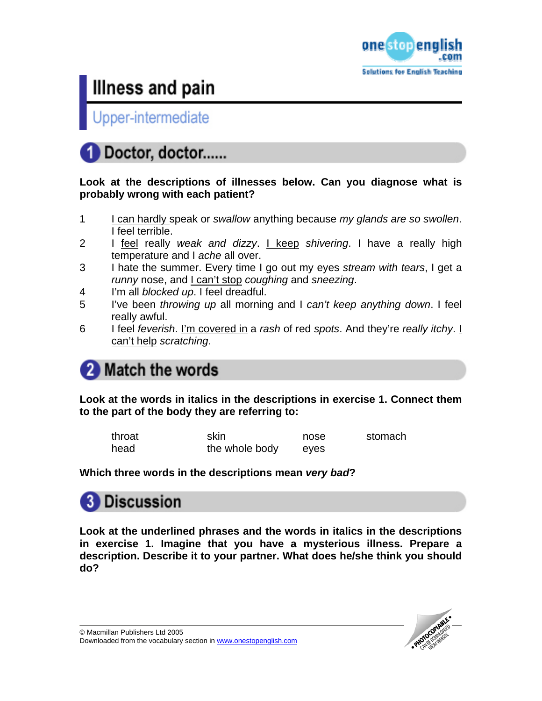

Upper-intermediate

### Doctor, doctor......

#### **Look at the descriptions of illnesses below. Can you diagnose what is probably wrong with each patient?**

- 1 I can hardly speak or *swallow* anything because *my glands are so swollen*. I feel terrible.
- 2 I feel really *weak and dizzy*. I keep *shivering*. I have a really high temperature and I *ache* all over.
- 3 I hate the summer. Every time I go out my eyes *stream with tears*, I get a *runny* nose, and I can't stop *coughing* and *sneezing*.
- 4 I'm all *blocked up*. I feel dreadful.
- 5 I've been *throwing up* all morning and I *can't keep anything down*. I feel really awful.
- 6 I feel *feverish*. I'm covered in a *rash* of red *spots*. And they're *really itchy*. I can't help *scratching*.

### **Match the words**

**Look at the words in italics in the descriptions in exercise 1. Connect them to the part of the body they are referring to:** 

| throat | skin           | nose | stomach |
|--------|----------------|------|---------|
| head   | the whole body | eyes |         |

**Which three words in the descriptions mean** *very bad***?** 



**Look at the underlined phrases and the words in italics in the descriptions in exercise 1. Imagine that you have a mysterious illness. Prepare a description. Describe it to your partner. What does he/she think you should do?** 

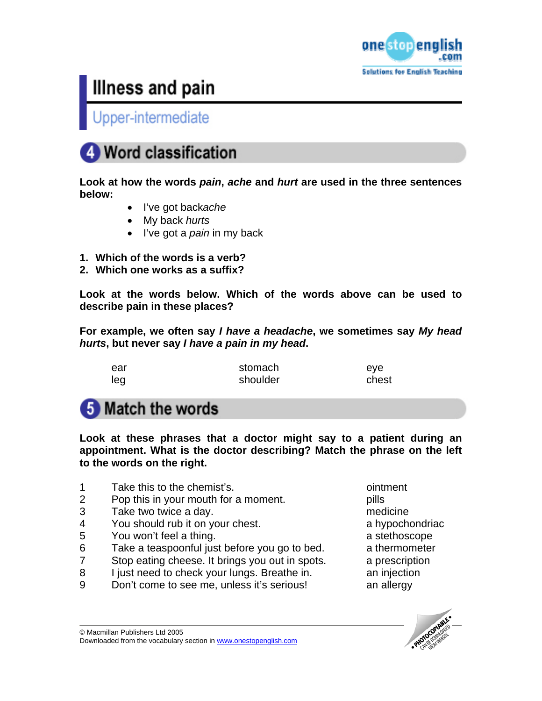

Upper-intermediate

### **Word classification**

**Look at how the words** *pain***,** *ache* **and** *hurt* **are used in the three sentences below:** 

- I've got back*ache*
- My back *hurts*
- I've got a *pain* in my back
- **1. Which of the words is a verb?**
- **2. Which one works as a suffix?**

**Look at the words below. Which of the words above can be used to describe pain in these places?** 

**For example, we often say** *I have a headache***, we sometimes say** *My head hurts***, but never say** *I have a pain in my head***.** 

| ear | stomach  | eve   |
|-----|----------|-------|
| leg | shoulder | chest |

### **5** Match the words

**Look at these phrases that a doctor might say to a patient during an appointment. What is the doctor describing? Match the phrase on the left to the words on the right.** 

- 1 Take this to the chemist's. ointment
- 2 Pop this in your mouth for a moment. pills
- 3 Take two twice a day. medicine
- 4 You should rub it on your chest. A set of the subset of the You should rub it on your chest.
- 5 You won't feel a thing. The state of the state of the state of the state of the state of the state of the state of the state of the state of the state of the state of the state of the state of the state of the state of t
- 6 Take a teaspoonful just before you go to bed. a thermometer
- 7 Stop eating cheese. It brings you out in spots. a prescription
- 8 I just need to check your lungs. Breathe in. The an injection
- 9 Don't come to see me, unless it's serious! an allergy

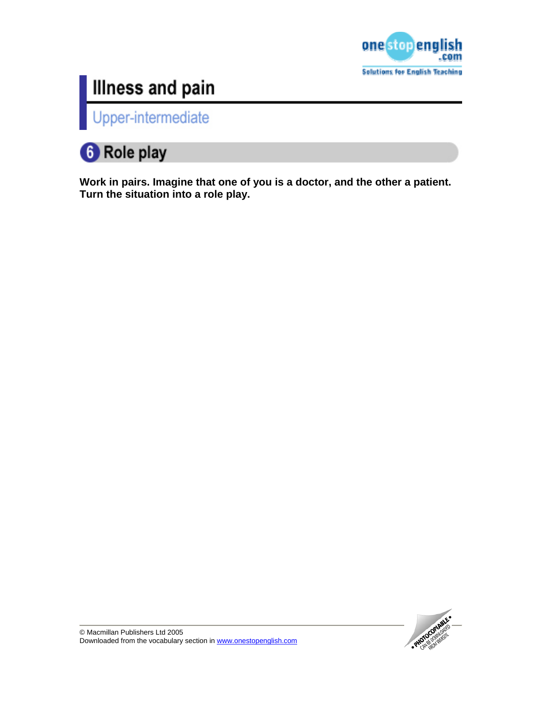

Upper-intermediate

### **6** Role play

**Work in pairs. Imagine that one of you is a doctor, and the other a patient. Turn the situation into a role play.** 

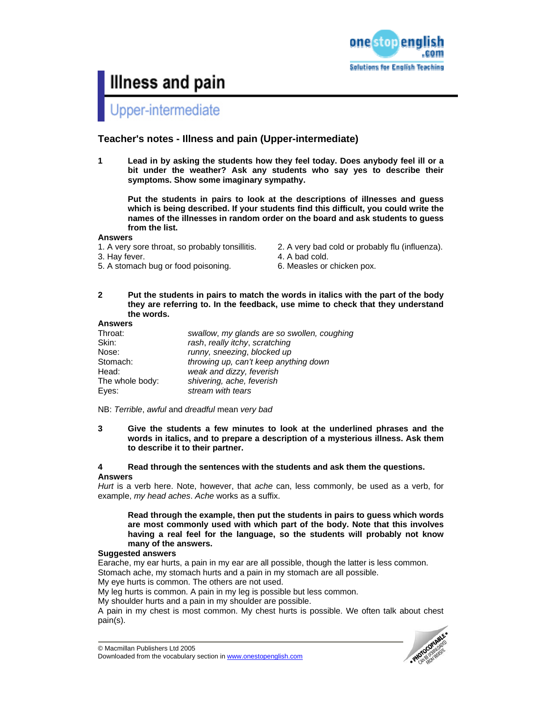

# Upper-intermediate

#### **Teacher's notes - Illness and pain (Upper-intermediate)**

**1 Lead in by asking the students how they feel today. Does anybody feel ill or a bit under the weather? Ask any students who say yes to describe their symptoms. Show some imaginary sympathy.** 

**Put the students in pairs to look at the descriptions of illnesses and guess which is being described. If your students find this difficult, you could write the names of the illnesses in random order on the board and ask students to guess from the list.** 

#### **Answers**

- 1. A very sore throat, so probably tonsillitis. 2. A very bad cold or probably flu (influenza).
- 
- 5. A stomach bug or food poisoning. 6. Measles or chicken pox.
- 
- 3. Hay fever. **4. A bad cold.** 
	-
- **2 Put the students in pairs to match the words in italics with the part of the body they are referring to. In the feedback, use mime to check that they understand the words.**

#### **Answers**

| Throat:         | swallow, my glands are so swollen, coughing |
|-----------------|---------------------------------------------|
| Skin:           | rash, really itchy, scratching              |
| Nose:           | runny, sneezing, blocked up                 |
| Stomach:        | throwing up, can't keep anything down       |
| Head:           | weak and dizzy, feverish                    |
| The whole body: | shivering, ache, feverish                   |
| Eves:           | stream with tears                           |

NB: *Terrible*, *awful* and *dreadful* mean *very bad*

**3 Give the students a few minutes to look at the underlined phrases and the words in italics, and to prepare a description of a mysterious illness. Ask them to describe it to their partner.** 

#### **4 Read through the sentences with the students and ask them the questions.**

#### **Answers**

*Hurt* is a verb here. Note, however, that *ache* can, less commonly, be used as a verb, for example, *my head aches*. *Ache* works as a suffix.

#### **Read through the example, then put the students in pairs to guess which words are most commonly used with which part of the body. Note that this involves having a real feel for the language, so the students will probably not know many of the answers.**

#### **Suggested answers**

Earache, my ear hurts, a pain in my ear are all possible, though the latter is less common. Stomach ache, my stomach hurts and a pain in my stomach are all possible.

My eye hurts is common. The others are not used.

My leg hurts is common. A pain in my leg is possible but less common.

My shoulder hurts and a pain in my shoulder are possible.

A pain in my chest is most common. My chest hurts is possible. We often talk about chest pain(s).